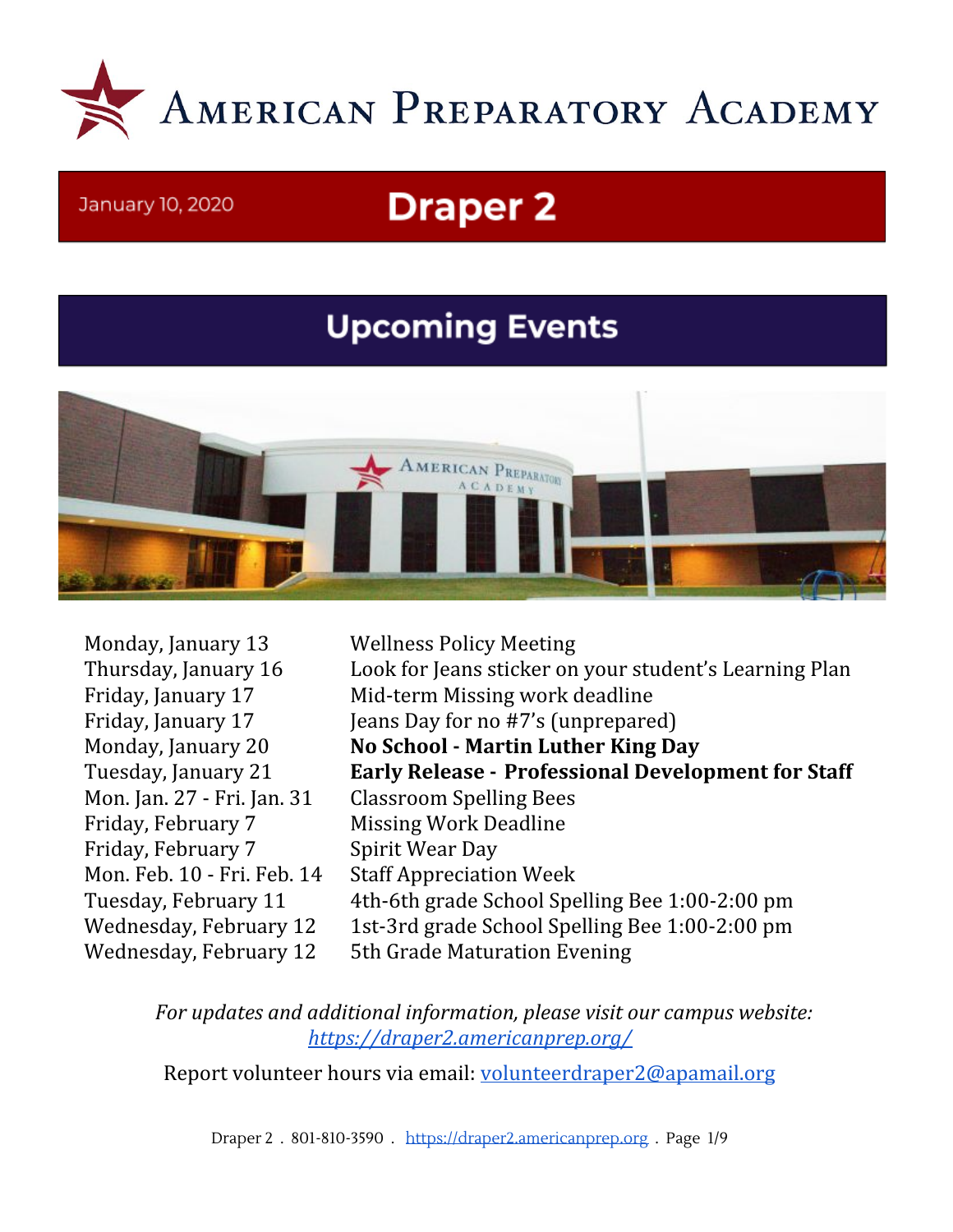

#### January 10, 2020

# **Draper 2**

# **Upcoming Events**



Monday, January 13 Wellness Policy Meeting Mon. Jan. 27 - Fri. Jan. 31 Classroom Spelling Bees Friday, February 7 Missing Work Deadline Friday, February 7 Spirit Wear Day Mon. Feb. 10 - Fri. Feb. 14 Staff Appreciation Week Wednesday, February 12 5th Grade Maturation Evening

Thursday, January 16 Look for Jeans sticker on your student's Learning Plan Friday, January 17 Mid-term Missing work deadline Friday, January 17 Jeans Day for no #7's (unprepared) Monday, January 20 **No School - Martin Luther King Day** Tuesday, January 21 **Early Release - Professional Development for Staff** Tuesday, February 11 4th-6th grade School Spelling Bee 1:00-2:00 pm Wednesday, February 12 1st-3rd grade School Spelling Bee 1:00-2:00 pm

*For updates and additional information, please visit our campus website: <https://draper2.americanprep.org/>*

Report volunteer hours via email: [volunteerdraper2@apamail.org](mailto:volunteerdraper2@apamail.org)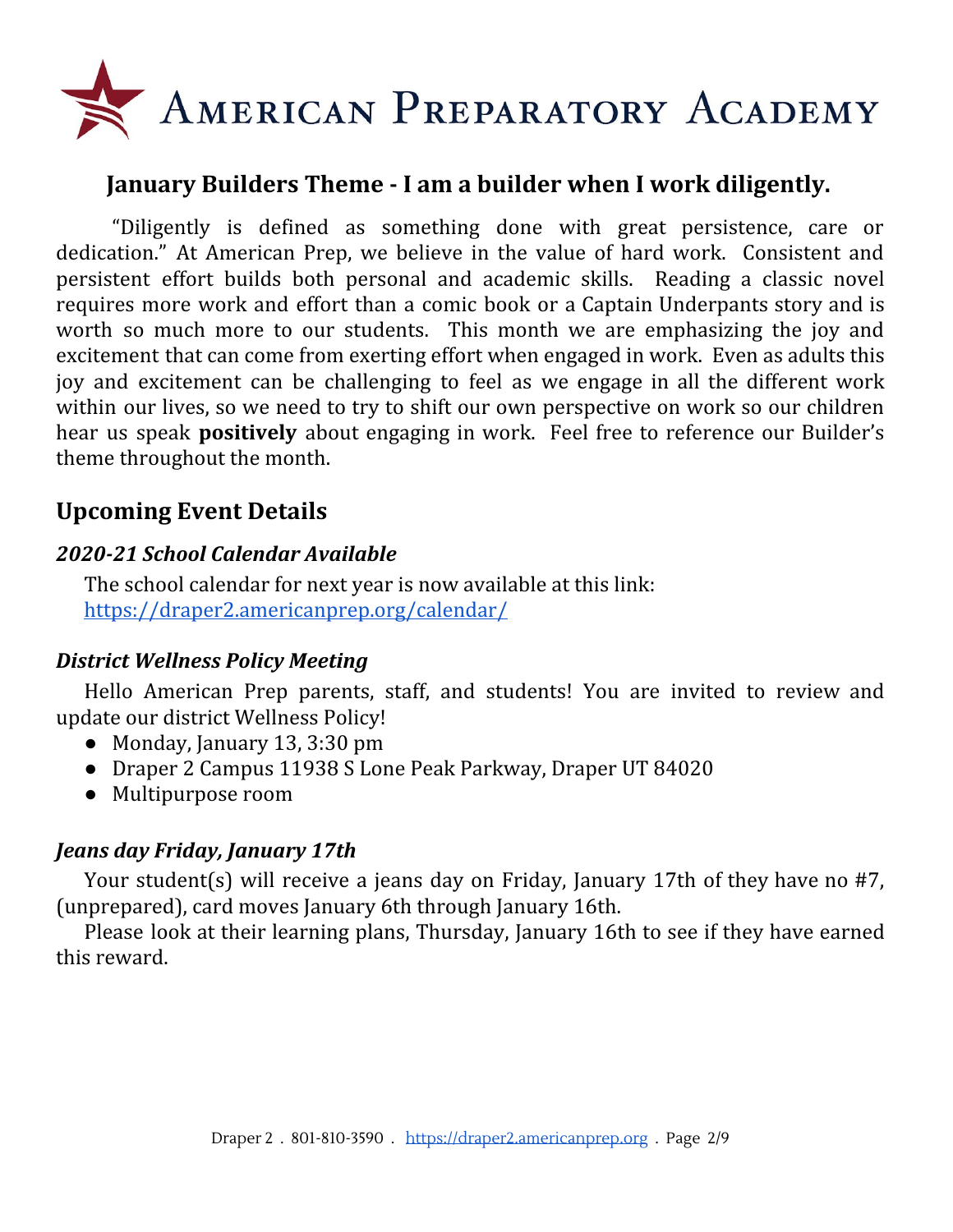

#### **January Builders Theme - I am a builder when I work diligently.**

"Diligently is defined as something done with great persistence, care or dedication." At American Prep, we believe in the value of hard work. Consistent and persistent effort builds both personal and academic skills. Reading a classic novel requires more work and effort than a comic book or a Captain Underpants story and is worth so much more to our students. This month we are emphasizing the joy and excitement that can come from exerting effort when engaged in work. Even as adults this joy and excitement can be challenging to feel as we engage in all the different work within our lives, so we need to try to shift our own perspective on work so our children hear us speak **positively** about engaging in work. Feel free to reference our Builder's theme throughout the month.

### **Upcoming Event Details**

#### *2020-21 School Calendar Available*

The school calendar for next year is now available at this link: <https://draper2.americanprep.org/calendar/>

#### *District Wellness Policy Meeting*

Hello American Prep parents, staff, and students! You are invited to review and update our district Wellness Policy!

- Monday, January 13, 3:30 pm
- Draper 2 Campus 11938 S Lone Peak Parkway, Draper UT 84020
- Multipurpose room

#### *Jeans day Friday, January 17th*

Your student(s) will receive a jeans day on Friday, January 17th of they have no #7, (unprepared), card moves January 6th through January 16th.

Please look at their learning plans, Thursday, January 16th to see if they have earned this reward.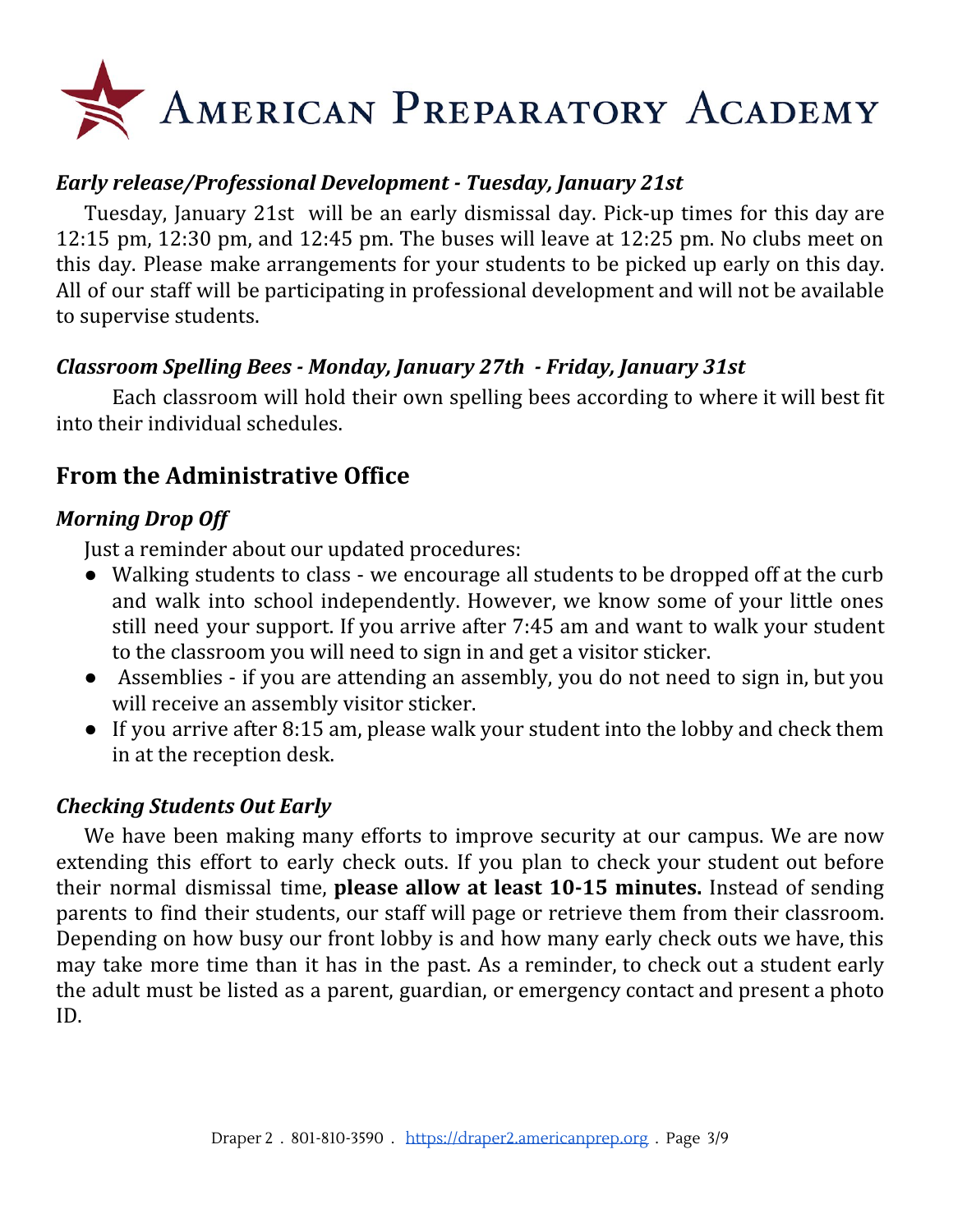# AMERICAN PREPARATORY ACADEMY

#### *Early release/Professional Development - Tuesday, January 21st*

Tuesday, January 21st will be an early dismissal day. Pick-up times for this day are 12:15 pm, 12:30 pm, and 12:45 pm. The buses will leave at 12:25 pm. No clubs meet on this day. Please make arrangements for your students to be picked up early on this day. All of our staff will be participating in professional development and will not be available to supervise students.

#### *Classroom Spelling Bees - Monday, January 27th - Friday, January 31st*

Each classroom will hold their own spelling bees according to where it will best fit into their individual schedules.

## **From the Administrative Office**

#### *Morning Drop Off*

Just a reminder about our updated procedures:

- Walking students to class we encourage all students to be dropped off at the curb and walk into school independently. However, we know some of your little ones still need your support. If you arrive after 7:45 am and want to walk your student to the classroom you will need to sign in and get a visitor sticker.
- Assemblies if you are attending an assembly, you do not need to sign in, but you will receive an assembly visitor sticker.
- If you arrive after 8:15 am, please walk your student into the lobby and check them in at the reception desk.

#### *Checking Students Out Early*

We have been making many efforts to improve security at our campus. We are now extending this effort to early check outs. If you plan to check your student out before their normal dismissal time, **please allow at least 10-15 minutes.** Instead of sending parents to find their students, our staff will page or retrieve them from their classroom. Depending on how busy our front lobby is and how many early check outs we have, this may take more time than it has in the past. As a reminder, to check out a student early the adult must be listed as a parent, guardian, or emergency contact and present a photo ID.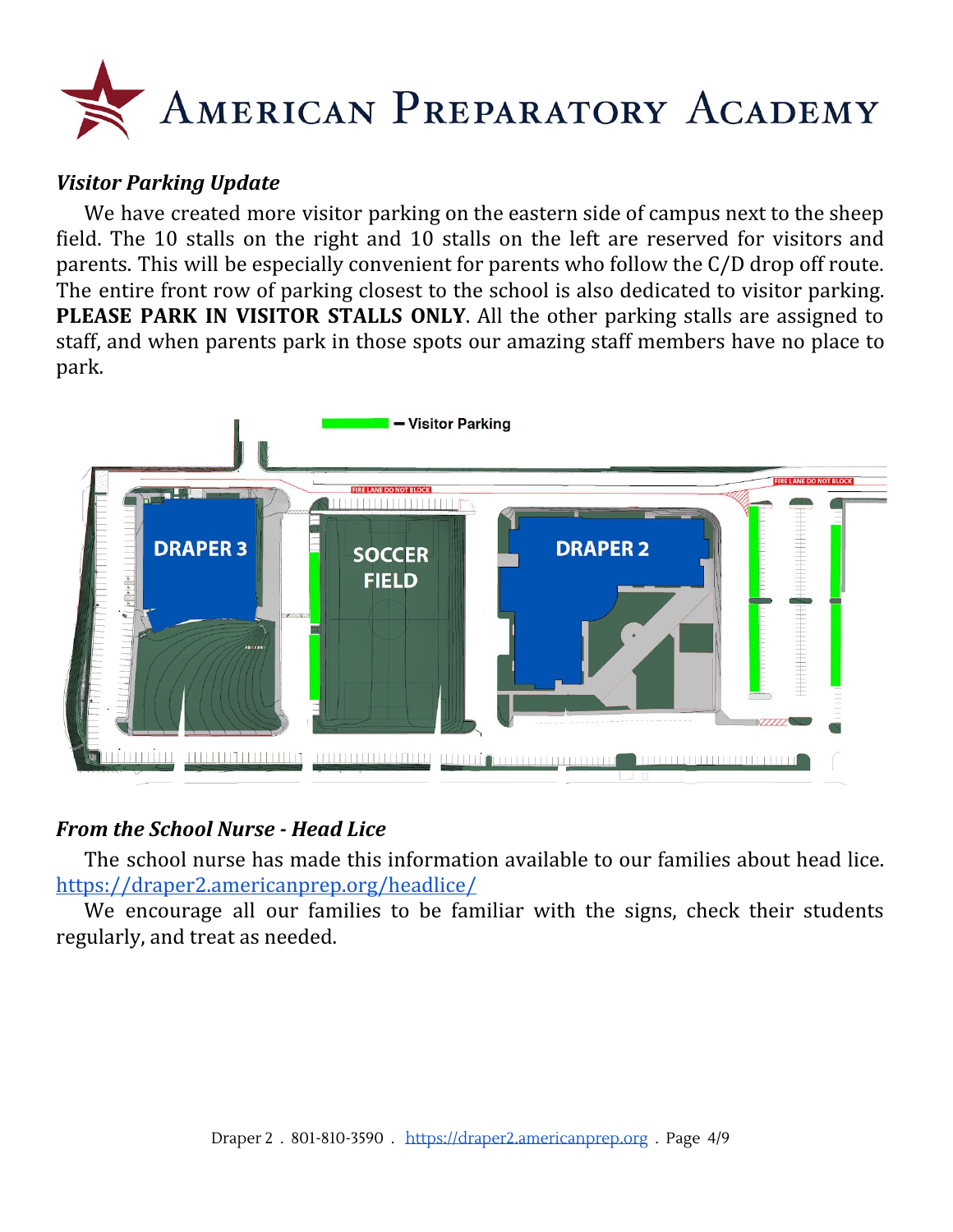

#### *Visitor Parking Update*

We have created more visitor parking on the eastern side of campus next to the sheep field. The 10 stalls on the right and 10 stalls on the left are reserved for visitors and parents. This will be especially convenient for parents who follow the C/D drop off route. The entire front row of parking closest to the school is also dedicated to visitor parking. **PLEASE PARK IN VISITOR STALLS ONLY**. All the other parking stalls are assigned to staff, and when parents park in those spots our amazing staff members have no place to park.



#### *From the School Nurse - Head Lice*

The school nurse has made this information available to our families about head lice. <https://draper2.americanprep.org/headlice/>

We encourage all our families to be familiar with the signs, check their students regularly, and treat as needed.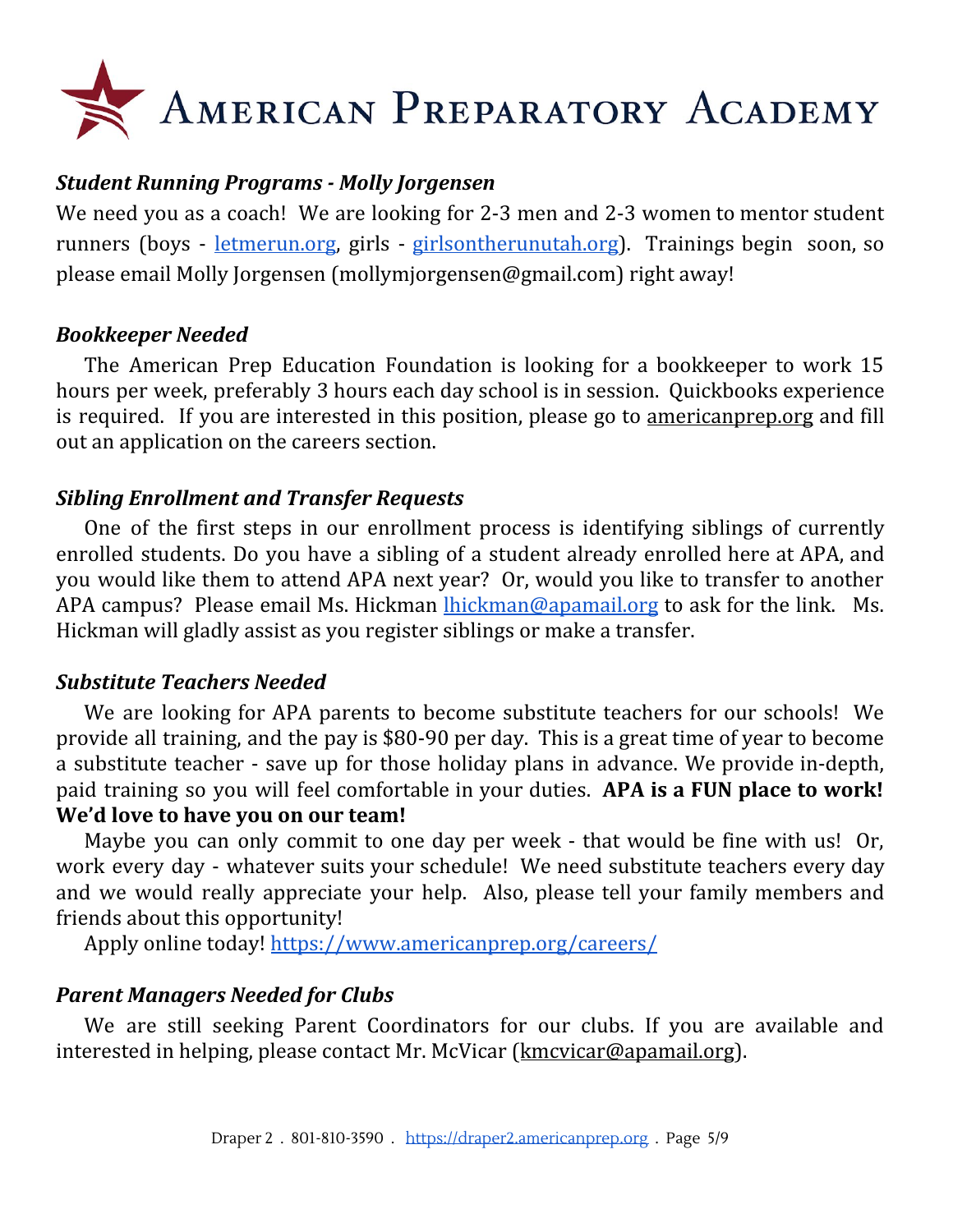# AMERICAN PREPARATORY ACADEMY

#### *Student Running Programs - Molly Jorgensen*

We need you as a coach! We are looking for 2-3 men and 2-3 women to mentor student runners (boys - [letmerun.org](http://letmerun.org/), girls - [girlsontherunutah.org\)](http://girlsontherunutah.org/). Trainings begin soon, so please email Molly Jorgensen (mollymjorgensen@gmail.com) right away!

#### *Bookkeeper Needed*

The American Prep Education Foundation is looking for a bookkeeper to work 15 hours per week, preferably 3 hours each day school is in session. Quickbooks experience is required. If you are interested in this position, please go to <u>[americanprep.org](http://americanprep.org/)</u> and fill out an application on the careers section.

#### *Sibling Enrollment and Transfer Requests*

One of the first steps in our enrollment process is identifying siblings of currently enrolled students. Do you have a sibling of a student already enrolled here at APA, and you would like them to attend APA next year? Or, would you like to transfer to another APA campus? Please email Ms. Hickman [lhickman@apamail.org](mailto:lhickman@apamail.org) to ask for the link. Ms. Hickman will gladly assist as you register siblings or make a transfer.

#### *Substitute Teachers Needed*

We are looking for APA parents to become substitute teachers for our schools! We provide all training, and the pay is \$80-90 per day. This is a great time of year to become a substitute teacher - save up for those holiday plans in advance. We provide in-depth, paid training so you will feel comfortable in your duties. **APA is a FUN place to work! We'd love to have you on our team!**

Maybe you can only commit to one day per week - that would be fine with us! Or, work every day - whatever suits your schedule! We need substitute teachers every day and we would really appreciate your help. Also, please tell your family members and friends about this opportunity!

Apply online today! <https://www.americanprep.org/careers/>

#### *Parent Managers Needed for Clubs*

We are still seeking Parent Coordinators for our clubs. If you are available and interested in helping, please contact Mr. McVicar [\(kmcvicar@apamail.org\)](mailto:kmcvicar@apamail.org).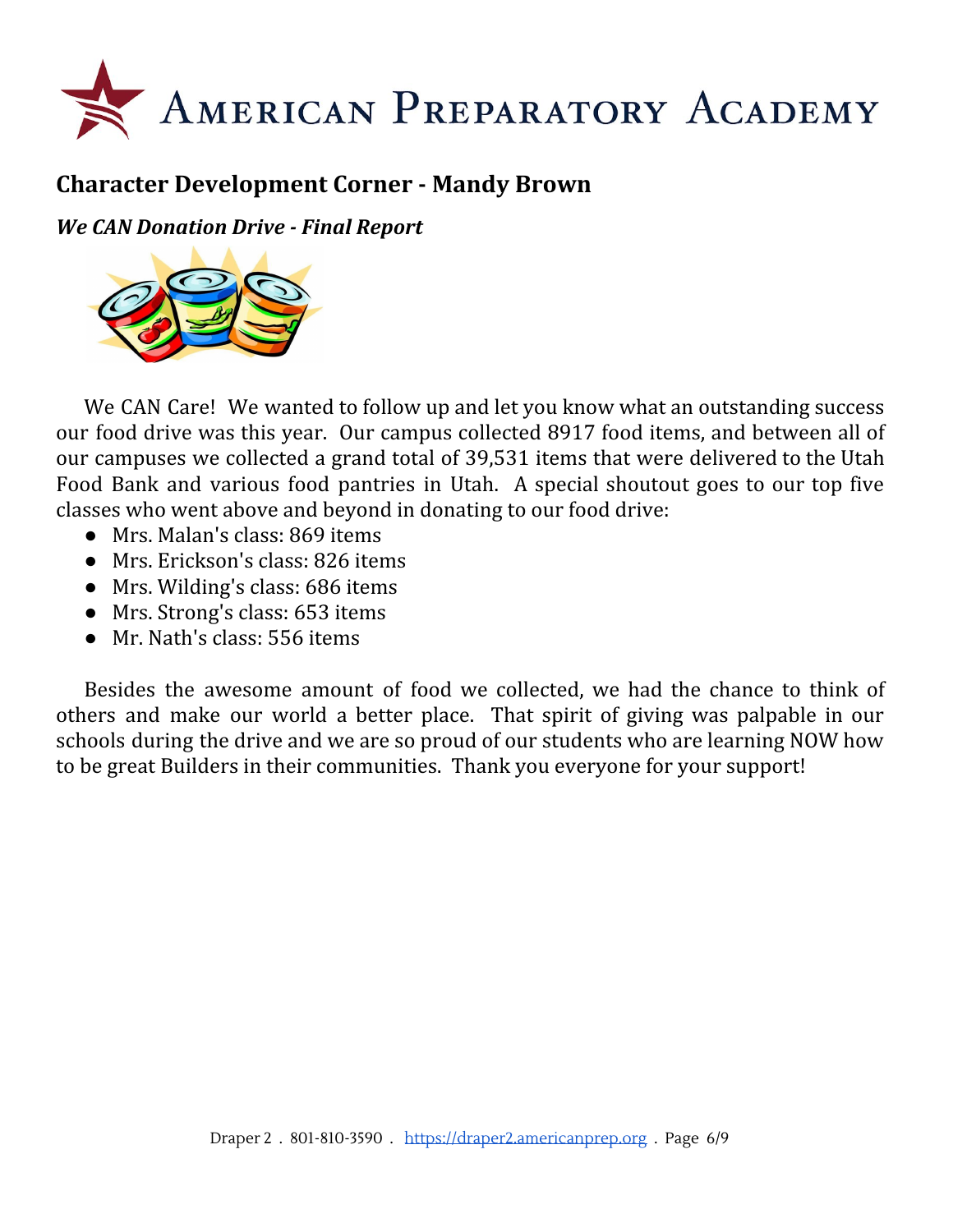

# **Character Development Corner - Mandy Brown**

*We CAN Donation Drive - Final Report*



We CAN Care! We wanted to follow up and let you know what an outstanding success our food drive was this year. Our campus collected 8917 food items, and between all of our campuses we collected a grand total of 39,531 items that were delivered to the Utah Food Bank and various food pantries in Utah. A special shoutout goes to our top five classes who went above and beyond in donating to our food drive:

- Mrs. Malan's class: 869 items
- Mrs. Erickson's class: 826 items
- Mrs. Wilding's class: 686 items
- Mrs. Strong's class: 653 items
- Mr. Nath's class: 556 items

Besides the awesome amount of food we collected, we had the chance to think of others and make our world a better place. That spirit of giving was palpable in our schools during the drive and we are so proud of our students who are learning NOW how to be great Builders in their communities. Thank you everyone for your support!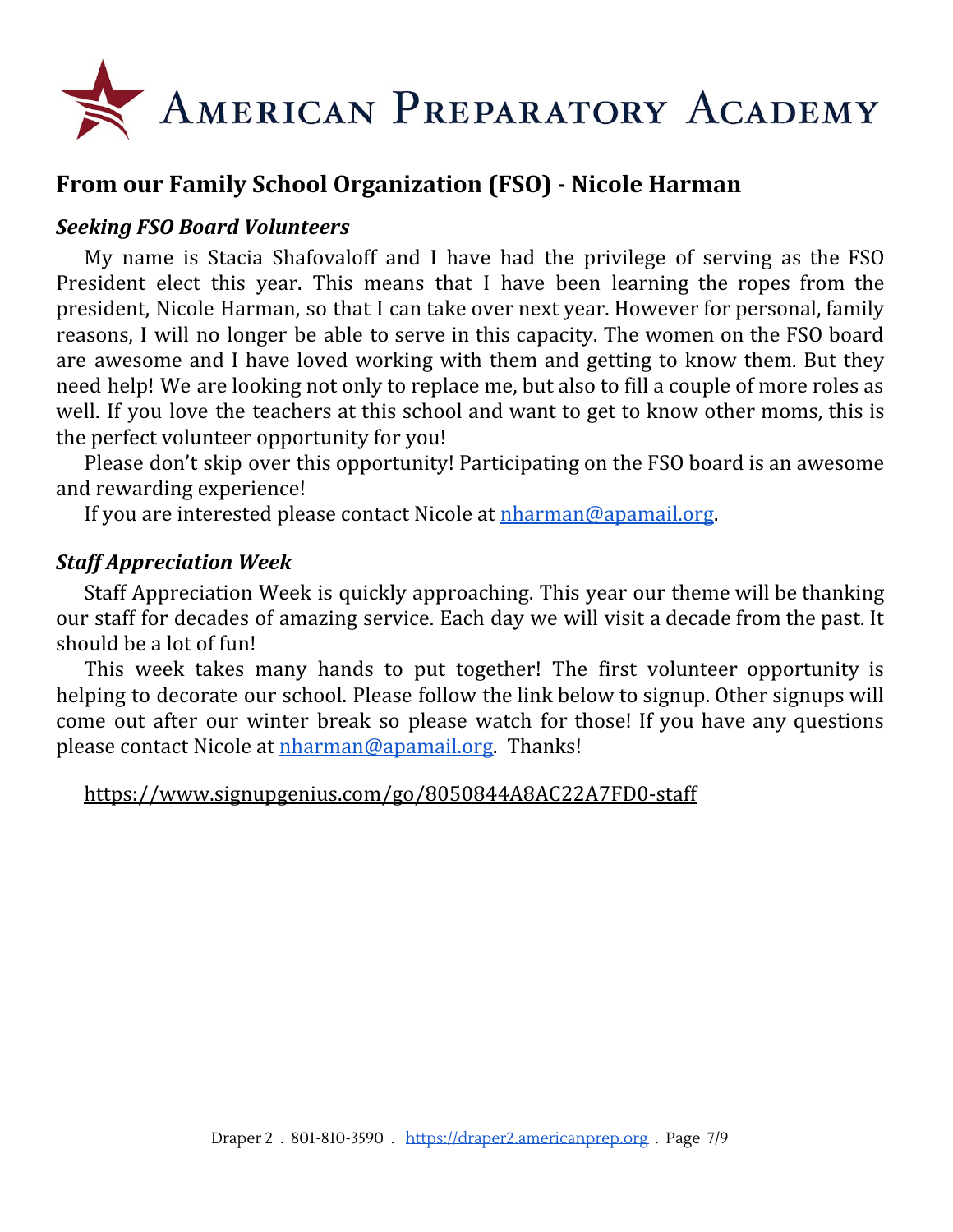

## **From our Family School Organization (FSO) - Nicole Harman**

#### *Seeking FSO Board Volunteers*

My name is Stacia Shafovaloff and I have had the privilege of serving as the FSO President elect this year. This means that I have been learning the ropes from the president, Nicole Harman, so that I can take over next year. However for personal, family reasons, I will no longer be able to serve in this capacity. The women on the FSO board are awesome and I have loved working with them and getting to know them. But they need help! We are looking not only to replace me, but also to fill a couple of more roles as well. If you love the teachers at this school and want to get to know other moms, this is the perfect volunteer opportunity for you!

Please don't skip over this opportunity! Participating on the FSO board is an awesome and rewarding experience!

If you are interested please contact Nicole at [nharman@apamail.org.](mailto:nharman@apamail.org)

#### *Staff Appreciation Week*

Staff Appreciation Week is quickly approaching. This year our theme will be thanking our staff for decades of amazing service. Each day we will visit a decade from the past. It should be a lot of fun!

This week takes many hands to put together! The first volunteer opportunity is helping to decorate our school. Please follow the link below to signup. Other signups will come out after our winter break so please watch for those! If you have any questions please contact Nicole at [nharman@apamail.org.](mailto:nharman@apamail.org) Thanks!

<https://www.signupgenius.com/go/8050844A8AC22A7FD0-staff>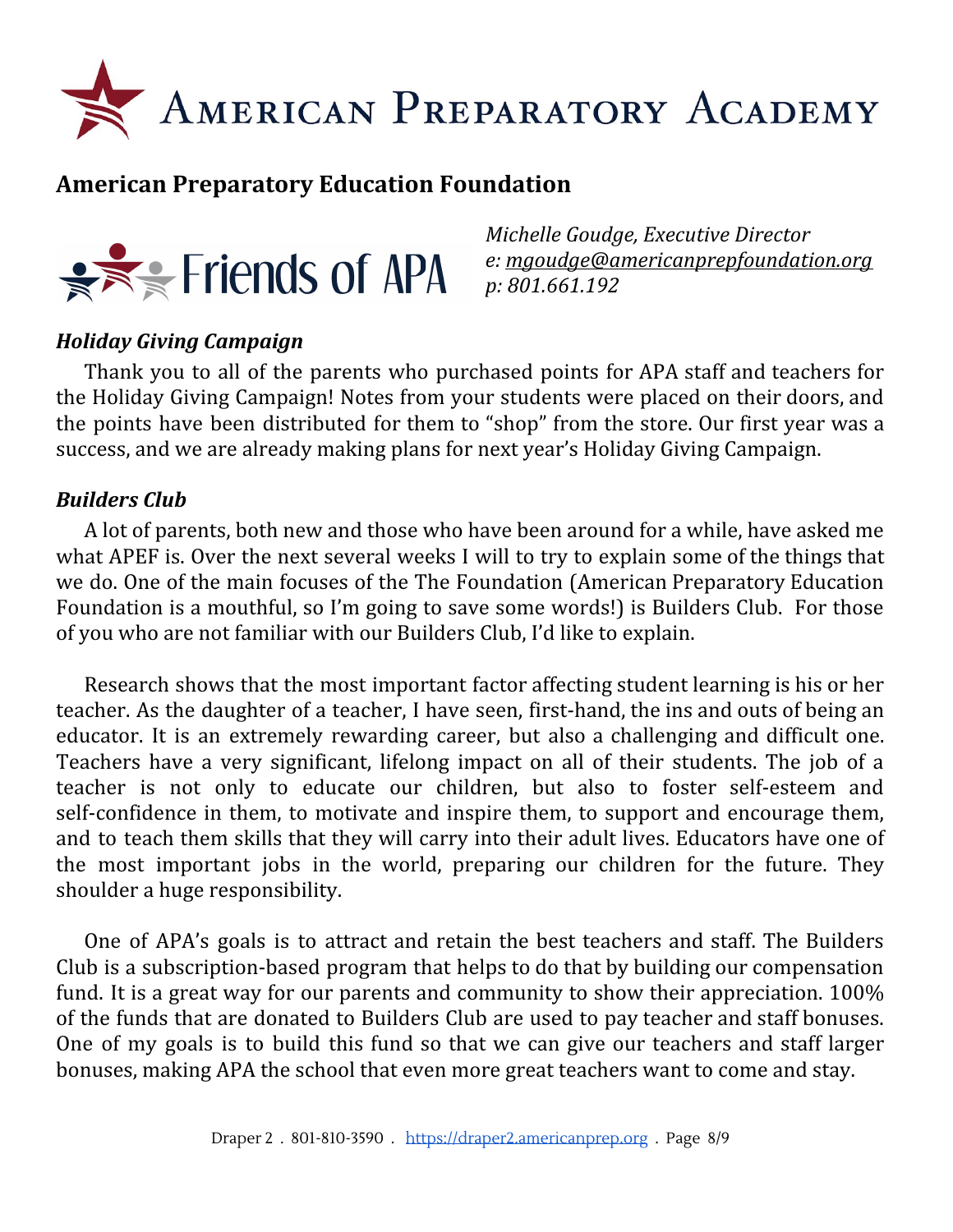

### **American Preparatory Education Foundation**



*Michelle Goudge, Executive Director e: [mgoudge@americanprepfoundation.org](mailto:mgoudge@americanprepfoundation.org) p: 801.661.192*

#### *Holiday Giving Campaign*

Thank you to all of the parents who purchased points for APA staff and teachers for the Holiday Giving Campaign! Notes from your students were placed on their doors, and the points have been distributed for them to "shop" from the store. Our first year was a success, and we are already making plans for next year's Holiday Giving Campaign.

#### *Builders Club*

A lot of parents, both new and those who have been around for a while, have asked me what APEF is. Over the next several weeks I will to try to explain some of the things that we do. One of the main focuses of the The Foundation (American Preparatory Education Foundation is a mouthful, so I'm going to save some words!) is Builders Club. For those of you who are not familiar with our Builders Club, I'd like to explain.

Research shows that the most important factor affecting student learning is his or her teacher. As the daughter of a teacher, I have seen, first-hand, the ins and outs of being an educator. It is an extremely rewarding career, but also a challenging and difficult one. Teachers have a very significant, lifelong impact on all of their students. The job of a teacher is not only to educate our children, but also to foster self-esteem and self-confidence in them, to motivate and inspire them, to support and encourage them, and to teach them skills that they will carry into their adult lives. Educators have one of the most important jobs in the world, preparing our children for the future. They shoulder a huge responsibility.

One of APA's goals is to attract and retain the best teachers and staff. The Builders Club is a subscription-based program that helps to do that by building our compensation fund. It is a great way for our parents and community to show their appreciation. 100% of the funds that are donated to Builders Club are used to pay teacher and staff bonuses. One of my goals is to build this fund so that we can give our teachers and staff larger bonuses, making APA the school that even more great teachers want to come and stay.